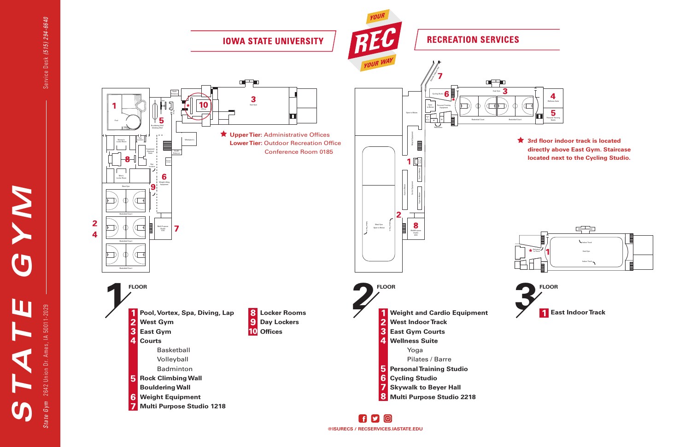**@ISURECS / RECSERVICES.IASTATE.EDU**

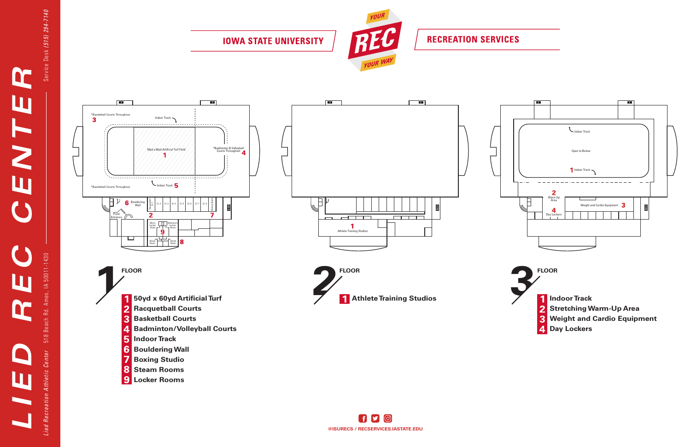

Service Desk (515) 294-7140

**IOWA STATE UNIVERSITY** 



**RECREATION SERVICES**